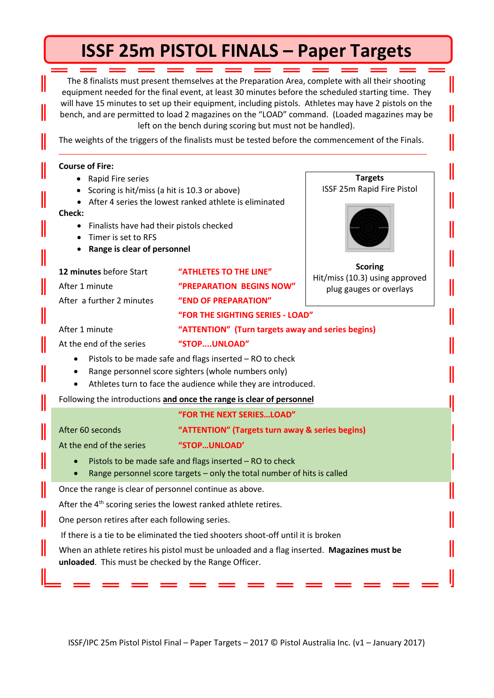# **ISSF 25m PISTOL FINALS – Paper Targets**

The 8 finalists must present themselves at the Preparation Area, complete with all their shooting equipment needed for the final event, at least 30 minutes before the scheduled starting time. They will have 15 minutes to set up their equipment, including pistols. Athletes may have 2 pistols on the bench, and are permitted to load 2 magazines on the "LOAD" command. (Loaded magazines may be left on the bench during scoring but must not be handled).

The weights of the triggers of the finalists must be tested before the commencement of the Finals.